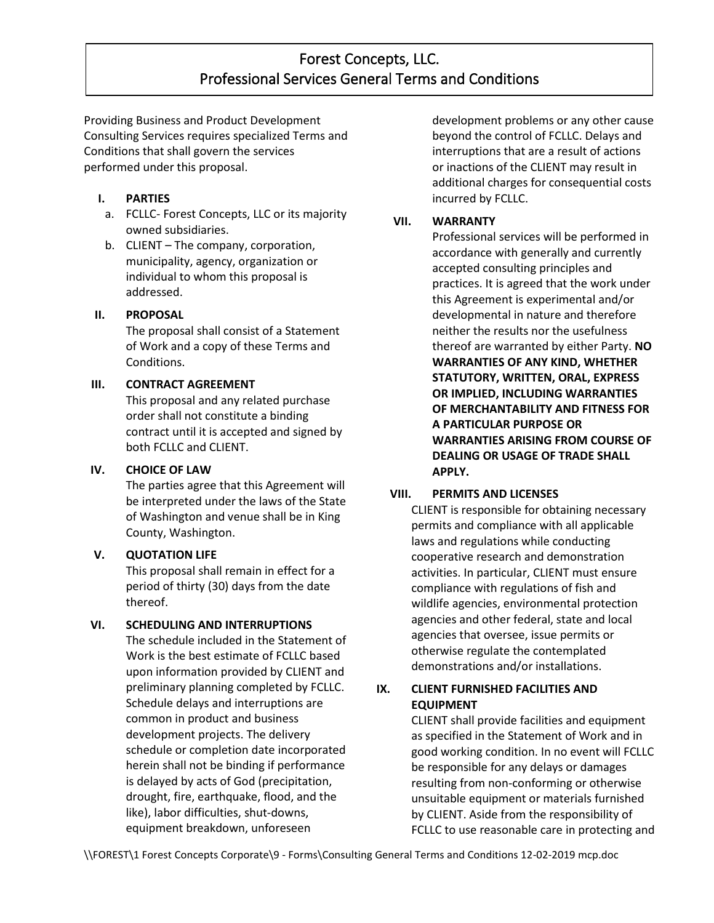# Forest Concepts, LLC. Professional Services General Terms and Conditions

Providing Business and Product Development Consulting Services requires specialized Terms and Conditions that shall govern the services performed under this proposal.

## **I. PARTIES**

- a. FCLLC- Forest Concepts, LLC or its majority owned subsidiaries.
- b. CLIENT The company, corporation, municipality, agency, organization or individual to whom this proposal is addressed.

# **II. PROPOSAL**

The proposal shall consist of a Statement of Work and a copy of these Terms and Conditions.

# **III. CONTRACT AGREEMENT**

This proposal and any related purchase order shall not constitute a binding contract until it is accepted and signed by both FCLLC and CLIENT.

### **IV. CHOICE OF LAW**

The parties agree that this Agreement will be interpreted under the laws of the State of Washington and venue shall be in King County, Washington.

# **V. QUOTATION LIFE**

This proposal shall remain in effect for a period of thirty (30) days from the date thereof.

# **VI. SCHEDULING AND INTERRUPTIONS**

The schedule included in the Statement of Work is the best estimate of FCLLC based upon information provided by CLIENT and preliminary planning completed by FCLLC. Schedule delays and interruptions are common in product and business development projects. The delivery schedule or completion date incorporated herein shall not be binding if performance is delayed by acts of God (precipitation, drought, fire, earthquake, flood, and the like), labor difficulties, shut-downs, equipment breakdown, unforeseen

development problems or any other cause beyond the control of FCLLC. Delays and interruptions that are a result of actions or inactions of the CLIENT may result in additional charges for consequential costs incurred by FCLLC.

## **VII. WARRANTY**

Professional services will be performed in accordance with generally and currently accepted consulting principles and practices. It is agreed that the work under this Agreement is experimental and/or developmental in nature and therefore neither the results nor the usefulness thereof are warranted by either Party. **NO WARRANTIES OF ANY KIND, WHETHER STATUTORY, WRITTEN, ORAL, EXPRESS OR IMPLIED, INCLUDING WARRANTIES OF MERCHANTABILITY AND FITNESS FOR A PARTICULAR PURPOSE OR WARRANTIES ARISING FROM COURSE OF DEALING OR USAGE OF TRADE SHALL APPLY.**

# **VIII. PERMITS AND LICENSES**

CLIENT is responsible for obtaining necessary permits and compliance with all applicable laws and regulations while conducting cooperative research and demonstration activities. In particular, CLIENT must ensure compliance with regulations of fish and wildlife agencies, environmental protection agencies and other federal, state and local agencies that oversee, issue permits or otherwise regulate the contemplated demonstrations and/or installations.

# **IX. CLIENT FURNISHED FACILITIES AND EQUIPMENT**

CLIENT shall provide facilities and equipment as specified in the Statement of Work and in good working condition. In no event will FCLLC be responsible for any delays or damages resulting from non-conforming or otherwise unsuitable equipment or materials furnished by CLIENT. Aside from the responsibility of FCLLC to use reasonable care in protecting and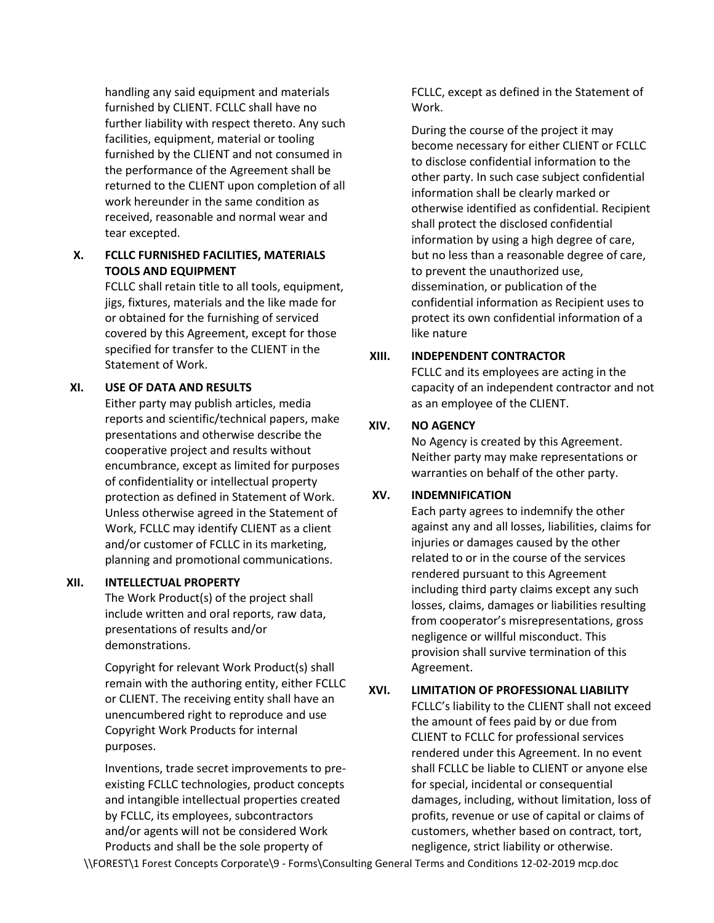handling any said equipment and materials furnished by CLIENT. FCLLC shall have no further liability with respect thereto. Any such facilities, equipment, material or tooling furnished by the CLIENT and not consumed in the performance of the Agreement shall be returned to the CLIENT upon completion of all work hereunder in the same condition as received, reasonable and normal wear and tear excepted.

#### **X. FCLLC FURNISHED FACILITIES, MATERIALS TOOLS AND EQUIPMENT**

FCLLC shall retain title to all tools, equipment, jigs, fixtures, materials and the like made for or obtained for the furnishing of serviced covered by this Agreement, except for those specified for transfer to the CLIENT in the Statement of Work.

#### **XI. USE OF DATA AND RESULTS**

Either party may publish articles, media reports and scientific/technical papers, make presentations and otherwise describe the cooperative project and results without encumbrance, except as limited for purposes of confidentiality or intellectual property protection as defined in Statement of Work. Unless otherwise agreed in the Statement of Work, FCLLC may identify CLIENT as a client and/or customer of FCLLC in its marketing, planning and promotional communications.

#### **XII. INTELLECTUAL PROPERTY**

The Work Product(s) of the project shall include written and oral reports, raw data, presentations of results and/or demonstrations.

Copyright for relevant Work Product(s) shall remain with the authoring entity, either FCLLC or CLIENT. The receiving entity shall have an unencumbered right to reproduce and use Copyright Work Products for internal purposes.

Inventions, trade secret improvements to preexisting FCLLC technologies, product concepts and intangible intellectual properties created by FCLLC, its employees, subcontractors and/or agents will not be considered Work Products and shall be the sole property of

FCLLC, except as defined in the Statement of Work.

During the course of the project it may become necessary for either CLIENT or FCLLC to disclose confidential information to the other party. In such case subject confidential information shall be clearly marked or otherwise identified as confidential. Recipient shall protect the disclosed confidential information by using a high degree of care, but no less than a reasonable degree of care, to prevent the unauthorized use, dissemination, or publication of the confidential information as Recipient uses to protect its own confidential information of a like nature

#### **XIII. INDEPENDENT CONTRACTOR**

FCLLC and its employees are acting in the capacity of an independent contractor and not as an employee of the CLIENT.

#### **XIV. NO AGENCY**

No Agency is created by this Agreement. Neither party may make representations or warranties on behalf of the other party.

### **XV. INDEMNIFICATION**

Each party agrees to indemnify the other against any and all losses, liabilities, claims for injuries or damages caused by the other related to or in the course of the services rendered pursuant to this Agreement including third party claims except any such losses, claims, damages or liabilities resulting from cooperator's misrepresentations, gross negligence or willful misconduct. This provision shall survive termination of this Agreement.

#### **XVI. LIMITATION OF PROFESSIONAL LIABILITY**

FCLLC's liability to the CLIENT shall not exceed the amount of fees paid by or due from CLIENT to FCLLC for professional services rendered under this Agreement. In no event shall FCLLC be liable to CLIENT or anyone else for special, incidental or consequential damages, including, without limitation, loss of profits, revenue or use of capital or claims of customers, whether based on contract, tort, negligence, strict liability or otherwise.

\\FOREST\1 Forest Concepts Corporate\9 - Forms\Consulting General Terms and Conditions 12-02-2019 mcp.doc